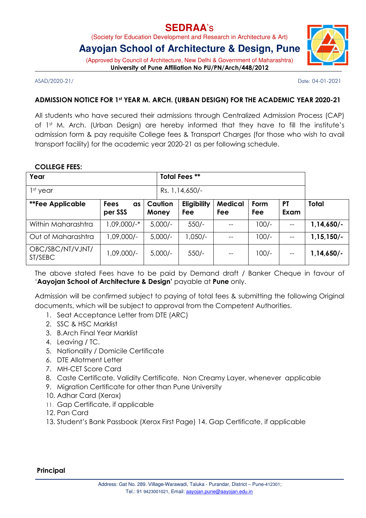## **SEDRAA**'s

(Society for Education Development and Research in Architecture & Art)

## **Aayojan School of Architecture & Design, Pune**

(Approved by Council of Architecture, New Delhi & Government of Maharashtra) University of Pune Affiliation No PU/PN/Arch/448/2012

ASAD/2020-21/ Date: 04-01-2021

### ADMISSION NOTICE FOR 1st YEAR M. ARCH. (URBAN DESIGN) FOR THE ACADEMIC YEAR 2020-21

All students who have secured their admissions through Centralized Admission Process (CAP) of 1st M. Arch. (Urban Design) are hereby informed that they have to fill the institute's admission form & pay requisite College fees & Transport Charges (for those who wish to avail transport facility) for the academic year 2020-21 as per following schedule.

### COLLEGE FEES:

| Year                        |                              |  |                  | <b>Total Fees **</b> |                       |             |                   |              |
|-----------------------------|------------------------------|--|------------------|----------------------|-----------------------|-------------|-------------------|--------------|
| $1st$ year                  |                              |  |                  | Rs. 1, 14, 650/-     |                       |             |                   |              |
| <b>**Fee Applicable</b>     | <b>Fees</b><br>as<br>per SSS |  | Caution<br>Money | Eligibility<br>Fee   | <b>Medical</b><br>Fee | Form<br>Fee | <b>PT</b><br>Exam | Total        |
| Within Maharashtra          | 1,09,000/-*                  |  | $5,000/-$        | $550/-$              |                       | $100/-$     |                   | $1,14,650/-$ |
| Out of Maharashtra          | $1,09,000/-$                 |  | $5,000/-$        | $1,050/-$            |                       | $100/-$     |                   | $1,15,150/-$ |
| OBC/SBC/NT/VJNT/<br>ST/SEBC | 1,09,000/-                   |  | $5,000/-$        | $550/-$              |                       | $100/-$     | $-$               | $1,14,650/-$ |

The above stated Fees have to be paid by Demand draft / Banker Cheque in favour of 'Aayojan School of Architecture & Design' payable at Pune only.

Admission will be confirmed subject to paying of total fees & submitting the following Original documents, which will be subject to approval from the Competent Authorities.

- 1. Seat Acceptance Letter from DTE (ARC)
- 2. SSC & HSC Marklist
- 3. B.Arch Final Year Marklist
- 4. Leaving / TC.
- 5. Nationality / Domicile Certificate
- 6. DTE Allotment Letter
- 7. MH-CET Score Card
- 8. Caste Certificate, Validity Certificate, Non Creamy Layer, whenever applicable
- 9. Migration Certificate for other than Pune University
- 10. Adhar Card (Xerox)
- 11. Gap Certificate, if applicable
- 12. Pan Card
- 13. Student's Bank Passbook (Xerox First Page) 14. Gap Certificate, if applicable

#### Principal